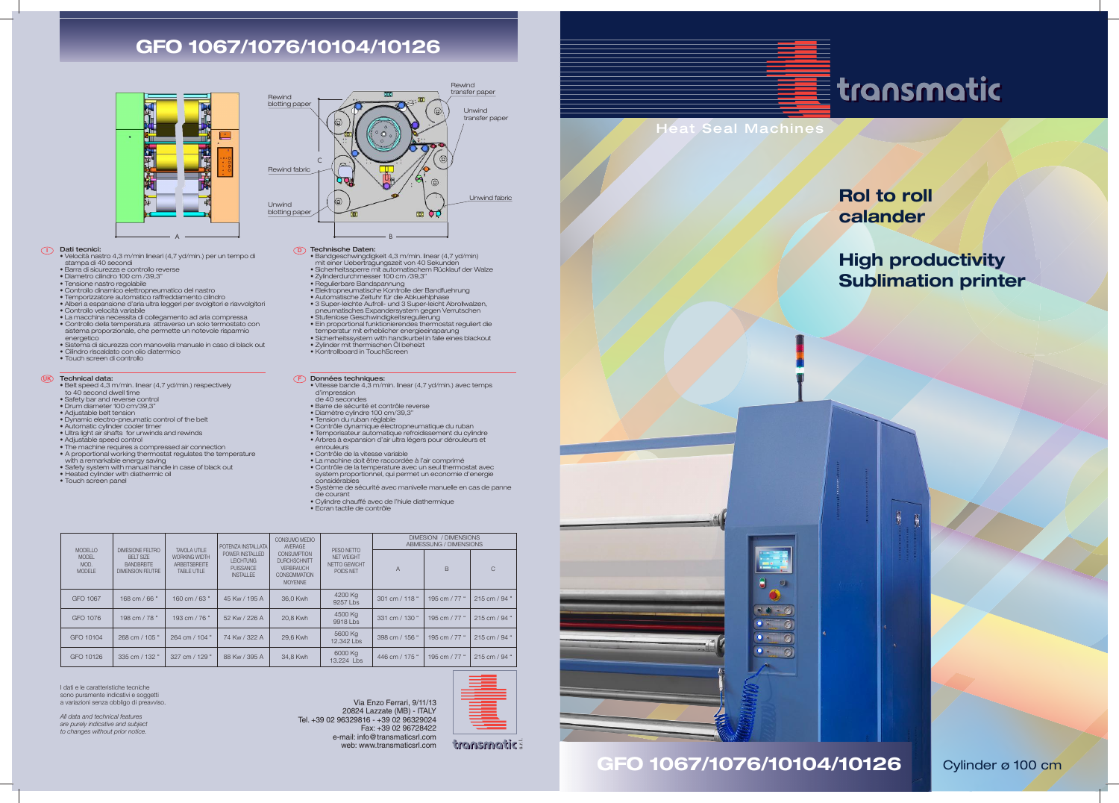Heat Seal Machines

## **GFO 1067/1076/10104/10126**



#### Dati tecnici:

- **I D** Velocità nastro 4,3 m/min lineari (4,7 yd/min.) per un tempo di stampa di 40 secondi
	- Barra di sicurezza e controllo reverse
	- Diametro cilindro 100 cm /39,3" Tensione nastro regolabile
	-
	- Controllo dinamico elettropneumatico del nastro Temporizzatore automatico raffreddamento cilindro
	-
	- Alberi a espansione d'aria ultra leggeri per svolgitori e riavvolgitori Controllo velocità variabile
	- La macchina necessita di collegamento ad aria compressa Controllo della temperatura attraverso un solo termostato con sistema proporzionale, che permette un notevole risparmio
	- energetico Sistema di sicurezza con manovella manuale in caso di black out
	- Cilindro riscaldato con olio diatermico Touch screen di controllo
	-

- **UK Fechnical data:**<br>• Belt speed 4,3 m/min. linear (4,7 yd/min.) respectively
	- to 40 second dwell time Safety bar and reverse control
	-
	- Drum diameter 100 cm/39,3"
	- Adjustable belt tension
	- Dynamic electro-pneumatic control of the belt
	- Automatic cylinder cooler timer Ultra light air shafts for unwinds and rewinds
	-
	-
	- Adjustable speed control The machine requires a compressed air connection • A proportional working thermostat regulates the temperature with a remarkable energy saving
	-
	- Safety system with manual handle in case of black out Heated cylinder with diathermic oil
	- Touch screen panel
- Bandgeschwingdigkeit 4,3 m/min. linear (4,7 yd/min) mit einer Uebertragungszeit von 40 Sekunden Sicherheitssperre mit automatischem Rücklauf der Walze
- 
- 
- 
- 
- 3 Super-leichte Aufroll- und 3 Super-leicht Abrollwalzen,<br>
pneumatisches Expandersystem gegen Verrutschen<br>
 Stufenlose Geschwindigkeitsregulierung<br>
 Ein proportional funktionierendes thermostat reguliert die<br>
 Ein pro
- 
- 
- 
- 

- **Données techniques:**<br>• Vitesse bande 4,3 m/min. linear (4,7 yd/min.) avec temps d'impression de 40 secondes
- Barre de sécurité et contrôle reverse
- Diamètre cylindre 100 cm/39,3"
- Tension du ruban réglable
- 
- Contrôle dynamique électropneumatique du ruban Temporisateur automatique refroidissement du cylindre
- Arbres à expansion d'air ultra légers pour dérouleurs et enrouleurs
- 
- Contrôle de la vitesse variable La machine doit être raccordée à l'air comprimé
- Contrôle de la temperature avec un seul thermostat avec system proportionnel, qui permet un economie d'energie considérables
- Système de sécurité avec manivelle manuelle en cas de panne de courant
- Cylindre chauffé avec de l'hiule diathermique
- Ecran tactile de contrôle

#### Technische Daten:

# • Zylinderdurchmesser 100 cm /39,3" • Regulierbare Bandspannung • Elektropneumatische Kontrolle der Bandfuehrung • Automatische Zeituhr für die Abkuehlphase

- 
- 
- 
- 
- Kontrollboard in TouchScreen



I dati e le caratteristiche tecniche sono puramente indicativi e soggetti a variazioni senza obbligo di preavviso.

*All data and technical features are purely indicative and subject to changes without prior notice.*

Via Enzo Ferrari, 9/11/13 20824 Lazzate (MB) - ITALY Tel. +39 02 96329816 - +39 02 96329024 Fax: +39 02 96728422 e-mail: info@transmaticsrl.com web: www.transmaticsrl.com



**transmatic:** 











| MODELLO<br><b>MODEL</b><br>MOD.<br><b>MODELE</b> | DIMESIONE FELTRO<br>BFIT SIZE<br><b>BANDBREITE</b><br><b>DIMENSION FEUTRE</b> | TAVOI A UTILE<br><b>WORKING WIDTH</b><br><b>ARBEITSBREITE</b><br>TABLE UTILE | I POTENZA INSTALLATA<br>POWER INSTALLED<br><b>LEICHTUNG</b><br><b>PUISSANCE</b><br><b>INSTALLEE</b> | CONSUMO MEDIO<br>AVERAGE<br><b>CONSUMPTION</b><br><b>DURCHSCHNITT</b><br><b>VERBRAUCH</b><br><b>CONSOMMATION</b><br><b>MOYENNE</b> | PFSO NFTTO<br>NFT WFIGHT<br>NETTO GEWICHT<br>POIDS NET | DIMESIONI / DIMENSIONS<br>ABMESSUNG / DIMENSIONS |               |               |
|--------------------------------------------------|-------------------------------------------------------------------------------|------------------------------------------------------------------------------|-----------------------------------------------------------------------------------------------------|------------------------------------------------------------------------------------------------------------------------------------|--------------------------------------------------------|--------------------------------------------------|---------------|---------------|
|                                                  |                                                                               |                                                                              |                                                                                                     |                                                                                                                                    |                                                        | $\overline{A}$                                   | B             | $\mathcal{C}$ |
| GFO 1067                                         | 168 cm / 66 "                                                                 | $160 \text{ cm} / 63$ "                                                      | 45 Kw / 195 A                                                                                       | 36.0 Kwh                                                                                                                           | 4200 Kg<br>$9257$ Lbs                                  | 301 cm / 118 "                                   | 195 cm / 77 " | 215 cm / 94 " |
| GFO 1076                                         | 198 cm / 78 "                                                                 | 193 cm / 76 "                                                                | 52 Kw / 226 A                                                                                       | 20.8 Kwh                                                                                                                           | 4500 Kg<br>$9918$ Lbs                                  | 331 cm / 130 "                                   | 195 cm / 77 " | 215 cm / 94 " |
| GFO 10104                                        | 268 cm / 105 "                                                                | 264 cm / 104 "                                                               | 74 Kw / 322 A                                                                                       | 29,6 Kwh                                                                                                                           | 5600 Kg<br>12.342 Lbs                                  | 398 cm / 156 "                                   | 195 cm / 77 " | 215 cm / 94 " |
| GFO 10126                                        | 335 cm / 132 "                                                                | 327 cm / 129 "                                                               | 88 Kw / 395 A                                                                                       | 34,8 Kwh                                                                                                                           | 6000 Kg<br>13.224 Lbs                                  | 446 cm / 175 "                                   | 195 cm / 77 " | 215 cm / 94 " |

**GFO 1067/1076/10104/10126**

## Rol to roll calander

## High productivity Sublimation printer



Cylinder ø 100 cm